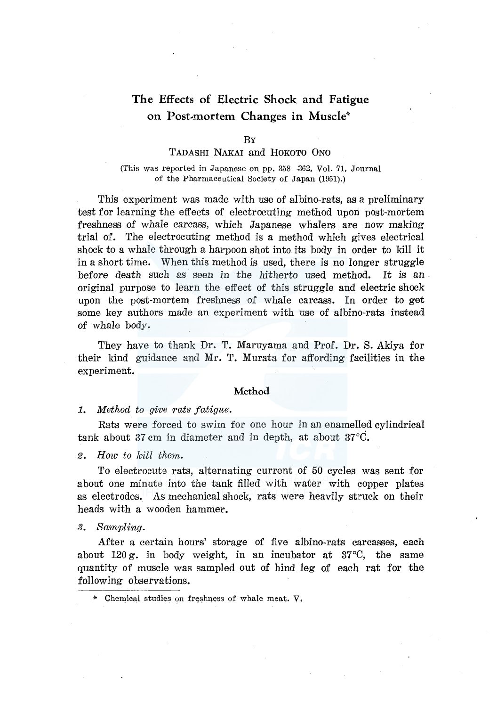# **The Effects of Electric Shock and Fatigue on Post-mortem Changes in Muscle"·**

#### BY

## TADASHI NAKAI and HOKOTO ONO

## (This was reported in Japanese on pp. 358-362, Vol. 71, Journal of the Pharmaceutical Society of Japan (1951).)

This experiment was made with use of albino-rats, as a preliminary test for learning the effects of electrocuting method upon post-mortem freshness of whale carcass, which Japanese whalers are now making trial of. The electrocuting method is a method which gives electrical shock to a whale through a harpoon shot into its body in order to kill it in a short time. When this method is used, there is no longer struggle before death such as· seen in the hitherto used method. It is an original purpose to learn the effect of this struggle and electric shock upon the post-mortem freshness of whale carcass. In order to get some key authors made an experiment with use of albino-rats instead of whale body.

They have to thank Dr. T. Maruyama and Prof. Dr. S. Akiya for their kind guidance and Mr. **T.** Murata for affording facilities in the experiment.

## **Method**

### 1. *Method to give rats fatigue.*

Rats were forced to swim for one hour in an enamelled cylindrical tank about 37 cm in diameter and in depth, at about 37°C.

## *2. How to kill them.*

To electrocute rats, alternating current of 50 cycles was sent for about one minute into the tank filled with water with copper plates as electrodes. As mechanical shock, rats were heavily struck on their heads with a wooden hammer.

## *3. Sampling.*

After a certain hours' storage of five albino-rats carcasses, each about 120 g. in body weight, in an incubator at 37°C, the same quantity of muscle was sampled out of hind leg of each rat for the following observations.

<sup>\*</sup> Chemical studies on freshness of whale meat.  $V$ ,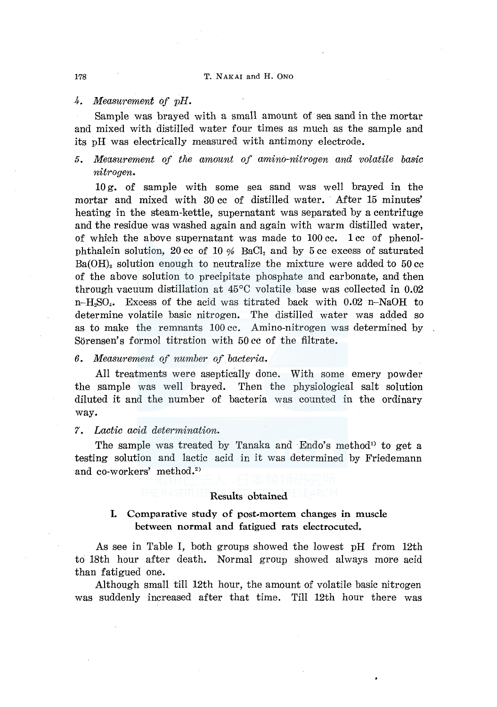#### 178 T. NAKAI and H. ONO

### *4. Measurement of pH.*

Sample was brayed with a small amount of sea sand in the mortar and mixed with distilled water four times as much as the sample and its pH was electrically measured with antimony electrode.

## *5. Measurement of the amount of amino-nitrogen and volatile basic nitrogen.*

10 g. of sample with some sea sand was well brayed in the mortar and mixed with 30 cc of distilled water. After 15 minutes' heating in the steam-kettle, supernatant was separated by a centrifuge and the residue was washed again and again with warm distilled water, of which the above supernatant was made to  $100 \text{ cc}$ . 1 cc of phenolphthalein solution, 20 cc of 10  $\%$  BaCl<sub>2</sub> and by 5 cc excess of saturated  $Ba(OH)$ , solution enough to neutralize the mixture were added to  $50 \text{ cc}$ of the above solution to precipitate phosphate and carbonate, and then through vacuum distillation at 45°C volatile base was collected in 0.02  $n-H<sub>2</sub>SO<sub>4</sub>$ . Excess of the acid was titrated back with 0.02 n-NaOH to determine volatile basic nitrogen. The distilled water was added so as to make the remnants 100 cc. Amino-nitrogen was determined by Sörensen's formol titration with 50 cc of the filtrate.

## *6. Measurement of number of. bacteria.*

All treatments were aseptically done. With some emery powder the sample was well brayed. Then the physiological salt solution diluted it and the number of bacteria was counted in the ordinary way.

### *7. Lactic acid determination.*

The sample was treated by Tanaka and Endo's method<sup>1</sup> to get a testing solution and lactic acid in it was determined by Friedemann and co-workers' method.<sup>2)</sup>

## Results obtained

## L Comparative study of post-mortem changes in muscle between normal and fatigued rats electrocuted.

As see in Table I, both groups showed the lowest pH from 12th to 18th hour after death. Normal group showed always more acid than fatigued one.

Although small till 12th hour, the amount of volatile basic nitrogen was suddenly increased after that time. Till 12th hour there was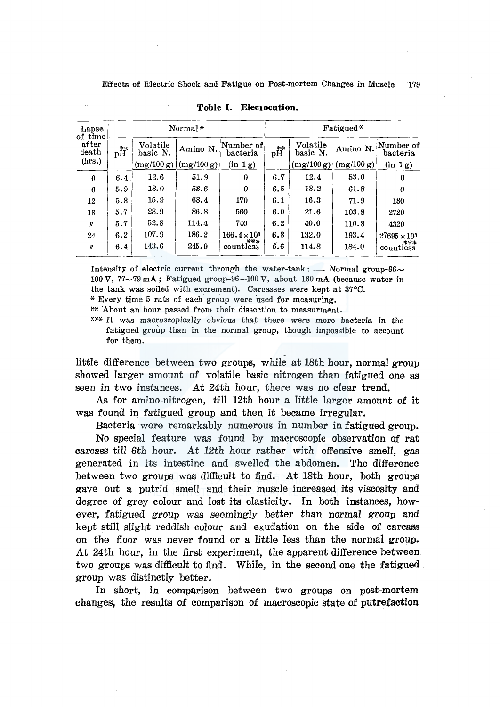| Lapse<br>of time |                    |                      | Normal*    |                               | Fatigued*          |                      |            |                       |  |
|------------------|--------------------|----------------------|------------|-------------------------------|--------------------|----------------------|------------|-----------------------|--|
| after<br>death   | $\mathrm{pH}^{**}$ | Volatile<br>basic N. | Amino N.   | Number of <br>$\rm{bacteria}$ | $\mathrm{pH}^{**}$ | Volatile<br>basic N. | Amino N.   | Number of<br>bacteria |  |
| (hrs.)           |                    | (mg/100 g)           | (mg/100 g) | (in 1g)                       |                    | (mg/100 g)           | (mg/100 g) | (in 1g)               |  |
| $\bf{0}$         | 6.4                | 12.6                 | 51.9       | $\bf{0}$                      | 6.7                | 12.4                 | 53.0       | 0                     |  |
| 6                | 5.9                | 13.0                 | 53.6       | $\theta$                      | 6.5                | 13.2                 | 61.8       | 0                     |  |
| 12               | 5.8                | 15.9                 | 68.4       | 170                           | 6.1                | 16.3.                | 71.9       | 130                   |  |
| 18               | 5.7                | 28.9                 | 86.8       | 560                           | 6.0                | 21.6                 | 103.8      | 2720                  |  |
| IJ               | 5.7                | 52.8                 | 114.4      | 740                           | 6.2                | 40.0                 | 110.8      | 4320                  |  |
| 24               | 6.2                | 107.9                | 186.2      | $166.4 \times 10^3$           | 6.3                | 132.0                | 193.4      | $27695 \times 10^{3}$ |  |
| ₩                | 6.4                | 143.6                | 245.9      | ***<br>countless              | 0.6                | 114.8                | 184.0      | ***<br>countless      |  |

**Toble I. Elecrocution.** 

Intensity of electric current through the water-tank: Normal group- $96\sim$ 100 V,  $77\sim79$  mA; Fatigued group-96 $\sim$ 100 V, about 160 mA (because water in the tank was soiled with excrement). Carcasses were kept at 37°C.

\* Every time 5 rats of each group were used for measuring.

\*\* 'About an hour passed from their dissection to measurment.

\*\*\* It was macroscopically obvious that there were more bacteria in the fatigued group than in the normal group, though impossible to account for them.

little difference between two groups, while at 18th hour, normal group showed larger amount of volatile basic nitrogen than fatigued one as seen in two instances. At 24th hour, there was no clear trend.

As for amino-nitrogen, till 12th hour a little larger amount of it was found in fatigued group and then it became irregular.

Bacteria were remarkably numerous in number in fatigued group.

No special feature was found by macroscopic observation of rat carcass tiil 6th hour. At 12th hour rather with offensive smell, gas generated in its intestine and swelled the abdomen. The difference between two groups was difficult to find. At 18th hour, both groups gave out a putrid smell and their muscle increased its viscosity and degree of grey colour and lost its elasticity. In both instances, however, fatigued group was seemingly better than normal group and kept still slight reddish colour and exudation on the side of carcass on the floor was never found or a little less than the normal group. At 24th hour, in the first experiment, the apparent difference between two groups was difficult to find. While, in the second one the fatigued group was distinctly better.

In short, in comparison between two groups on post-mortem changes, the results of comparison of macroscopic state of putrefaction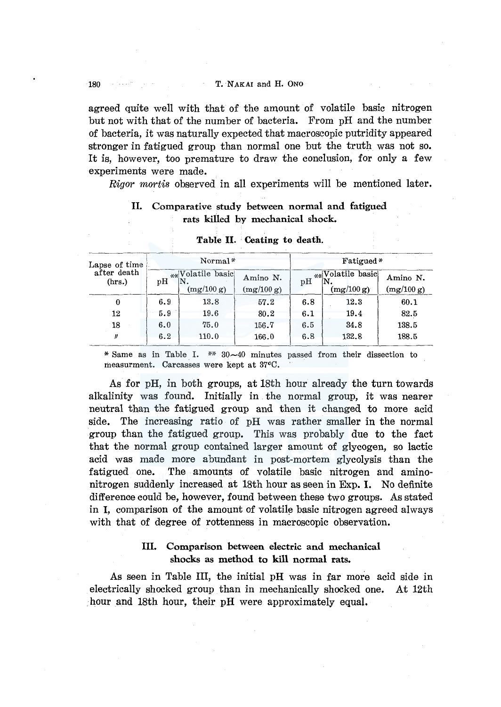agreed quite well with that of the amount of volatile basic nitrogen but not with that of the number of bacteria. From pH and the number of bacteria, it was naturally expected that macroscopic putridity appeared stronger in fatigued group than normal one but the truth was not so. It is, however, too premature to draw the conclusion, for only a few experiments were made.

*Rigor mortis* observed in all experiments will be mentioned later.

## II. Comparative study between normal and fatigued rats killed by mechanical shock.

| Lapse of time         |     | Normal*                  |          | Fatigued*      |                        |            |  |
|-----------------------|-----|--------------------------|----------|----------------|------------------------|------------|--|
| after death<br>(hrs.) | pH  | ** Volatile basic<br>N   | Amino N. | H <sub>g</sub> | $_{**}$ Volatile basic | Amino N.   |  |
|                       |     | (mg/100 g)<br>(mg/100 g) |          |                | (mg/100 g)             | (mg/100 g) |  |
| 0                     | 6.9 | 13.8                     | 57.2     | 6.8            | 12.3                   | 60.1       |  |
| 12                    | 5.9 | 19.6                     | 80.2     | 6.1            | 19.4                   | 82.5       |  |
| 18                    | 6.0 | 75.0                     | 156.7    | 6.5            | 34.8                   | 138.5      |  |
| n                     | 6.2 | 110.0                    | 166.0    | 6.8            | 132.8                  | 188.5      |  |

#### Table II. · Ceating to death.

\* Same as in Table I. \*\*  $30~-40$  minutes passed from their dissection to measurment. Carcasses were kept at 37°C.

As for pH, in both groups, at 18th hour already the turn towards alkalinity was found. Initially in the normal group, it was nearer neutral than the fatigued group and then it changed to more acid side. The increasing ratio of pH was rather smaller in the normal group than the fatigued group. This was probably due to the fact that the normal group contained larger amount of glycogen, so lactic acid was made more abundant in post-mortem glycolysis than the fatigued one. The amounts of volatile basic nitrogen and aminonitrogen suddenly increased at 18th hour as seen in Exp. I. No definite difference could be, however, found between these two groups. As stated in I, comparison of the amount of volatile basic nitrogen agreed always with that of degree of rottenness in macroscopic observation.

## III. Comparison between electric and mechanical shocks as method to kill normal rats.

As seen in Table III, the initial pH was in far more acid side in electrically shocked group than in mechanically shocked one. At 12th hour and 18th hour, their pH were approximately equal.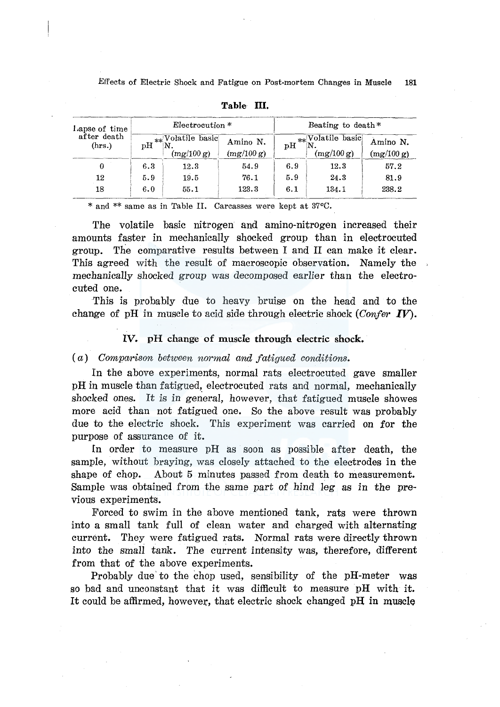Effects of Electric Shock and Fatigue on Post-mortem Changes in Muscle 181

| Lapse of time         |     | Electrocution *                |                        | Beating to death* |                                   |                        |  |
|-----------------------|-----|--------------------------------|------------------------|-------------------|-----------------------------------|------------------------|--|
| after death<br>(hrs.) | рH  | **Volatile basic<br>(mg/100 g) | Amino N.<br>(mg/100 g) | ъH                | $**$ Volatile basic<br>(mg/100 g) | Amino N.<br>(mg/100 g) |  |
| 0                     | 6.3 | 12.3                           | 54.9                   | 6.9               | 12.3                              | 57.2                   |  |
| 12                    | 5.9 | 19.5                           | 76.1                   | 5.9               | 24.3                              | 81.9                   |  |
| 18                    | 6.0 | 55.1                           | 123.3                  | 6.1               | 134.1                             | 238.2                  |  |

Table III.

\* and \*\* same as in Table II. Carcasses were kept at 37°0.

The volatile basic nitrogen and amino-nitrogen increased their amounts faster in mechanically shocked group than in electrocuted group. The comparative results between I and II can make it clear. This agreed with the result of macroscopic observation. Namely the mechanically shocked group was decomposed earlier than the electrocuted one.

This is probably due to heavy bruise on the head and to the change of pH in muscle to acid side through electric shock *(Confer IV).* 

## IV. pH change of muscle through electric shock.

#### ( *a) Comparison between normal and fatigued conditions.*

In the above experiments, normal rats electrocuted gave smaller pH in muscle than fatigued, electrocuted rats and normal, mechanically shocked ones. It is in general, however, that fatigued muscle showes more acid than not fatigued one. So the above result was probably due to the electric shock. This experiment was carried on for the purpose of assurance of it.

fn order to measure pH as soon as possible after death, the sample, without braying, was closely attached to the electrodes in the shape of chop. About 5 minutes passed from death to measurement. Sample was obtained from the same part of hind leg as in the previous experiments.

Forced to swim in the above mentioned tank, rats were thrown into a small tank full of clean water and charged with alternating current. They were fatigued rats. Normal rats were directly thrown into the smaII tank. The current intensity was, therefore, different from that of the above experiments.

Probably due' to the chop used, sensibility of the pH-meter was so bad and unconstant that it was difficult to measure pH with it. It could be affirmed, however, that electric shock changed pH in muscle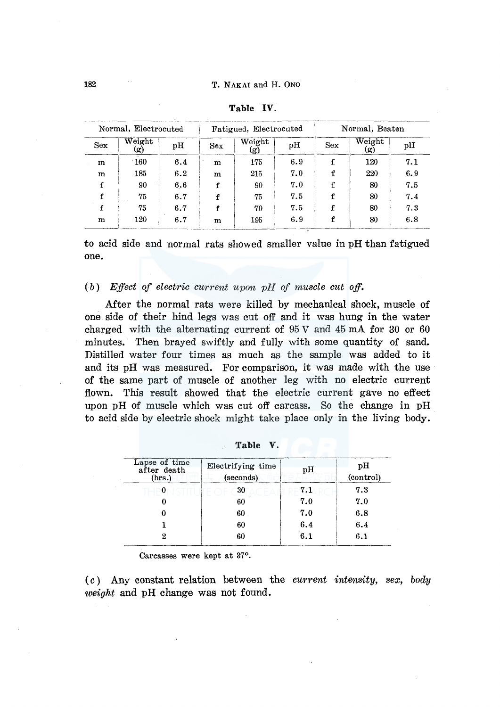| Normal, Electrocuted |               |     | Fatigued, Electrocuted |               |     | Normal, Beaten |                                   |     |
|----------------------|---------------|-----|------------------------|---------------|-----|----------------|-----------------------------------|-----|
| <b>Sex</b>           | Weight<br>(g) | pH  | <b>Sex</b>             | Weight<br>(g) | рH  | Sex            | $\overline{\text{Weight}}$<br>(g) | pH  |
| m                    | 160           | 6.4 | m                      | 175           | 6.9 |                | 120                               | 7.1 |
| m                    | 185           | 6.2 | m                      | 215           | 7.0 |                | 220                               | 6.9 |
|                      | 90            | 6.6 |                        | 90            | 7.0 |                | 80                                | 7.5 |
|                      | 75            | 6.7 |                        | 75            | 7.5 |                | 80                                | 7.4 |
|                      | 75            | 6.7 |                        | 70            | 7.5 |                | 80                                | 7.3 |
| m                    | 120           | 6.7 | m                      | 195           | 6.9 | f              | 80                                | 6.8 |

| Table |  |  |
|-------|--|--|
|       |  |  |

to acid side and normal rats showed smaller value in pH than fatigued one.

( *b) Ejfeet of eleetrie current upon pH of musele eut off.* 

After the normal rats were killed by mechanical shock, muscle of one side of their hind legs was cut off and it was hung in the water charged with the alternating current of  $95 \text{ V}$  and  $45 \text{ mA}$  for  $30 \text{ or } 60$ minutes. Then brayed swiftly and fully with some quantity of sand. Distilled water four times as much as the sample was added to it and its pH was measured. For comparison, it was made with the use of the same part of muscle of another leg with no electric current flown. This result showed that the electric current gave no effect upon pH of muscle which was cut off carcass. So the change in pH to acid side by electric shock might take place only in the living body.

| Lapse of time<br>after death<br>(hrs.) | Electrifying time<br>(seconds) | pН  | pН<br>(control) |
|----------------------------------------|--------------------------------|-----|-----------------|
| 0                                      | 30                             | 7.1 | 7.3             |
|                                        | 60                             | 7.0 | 7.0             |
|                                        | 60                             | 7.0 | 6.8             |
|                                        | 60                             | 6.4 | 6.4             |
| 2                                      | 60                             | 6.1 | 6.1             |

**Table v.** 

Carcasses were kept at 37°.

( c) Any constant relation between the *current intensity, sex, body weight* and pH change was not found.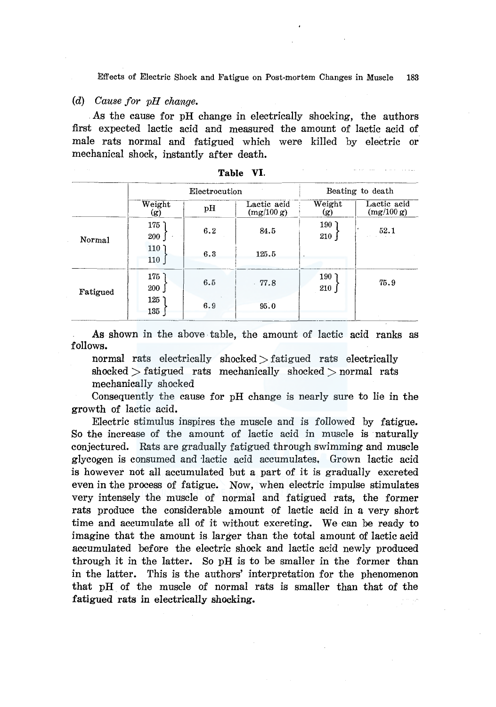Effects of Electric Shock and Fatigue on Post-mortem Changes in Muscle 183

## *(d) Cause for pH change •*

. As the cause for pH change in electrically shocking, the authors first expected lactic acid and measured the amount of lactic acid of male rats normal and fatigued which were killed by electric or mechanical shock, instantly after death.

|          |                         |               | Table VI.                 |                |                           |
|----------|-------------------------|---------------|---------------------------|----------------|---------------------------|
|          |                         | Electrocution | Beating to death          |                |                           |
|          | Weight<br>(g)           | pH            | Lactic acid<br>(mg/100 g) | Weight<br>(g)  | Lactic acid<br>(mg/100 g) |
| Normal   | 175<br>200              | 6.2           | 84.5                      | $190$ )<br>210 | 52.1                      |
|          | 110 <sup>7</sup><br>110 | 6.3           | 125.5                     |                |                           |
| Fatigued | 175<br>200              | 6.5           | $-77.8$                   | $190$ ]<br>210 | 75.9                      |
|          | 125<br>135              | 6.9           | 95.0                      |                |                           |

As shown in the above table, the amount of lactic acid ranks as follows.

normal rats electrically shocked  $\gt$  fatigued rats electrically shocked  $>$  fatigued rats mechanically shocked  $>$  normal rats mechanically shocked

Consequently the cause for pH change is nearly sure to lie in the growth of lactic acid.

Electric stimulus inspires the muscle and is followed by fatigue. So the increase of the amount of lactic acid in muscle is naturally conjectured. Rats are gradually fatigued through swimming and muscle glycogen is consumed and ·lactic acid accumulates, Grown lactic acid is however not all accumulated but a part of it is gradually excreted even in the process of fatigue. Now, when electric impulse stimulates very intensely the muscle of normal and fatigued rats, the former rats produce the considerable amount of lactic acid in a very short time and accumulate all of it without excreting. We can be ready to imagine that the amount is larger than the total amount of lactic acid accumulated before the electric shock and lactic acid newly produced through it in the latter. So pH is to be smaller in the former than in the latter. This is the authors' interpretation for the phenomenon that pH of the muscle of normal rats is smaller than that of the fatigued rats in electrically shocking.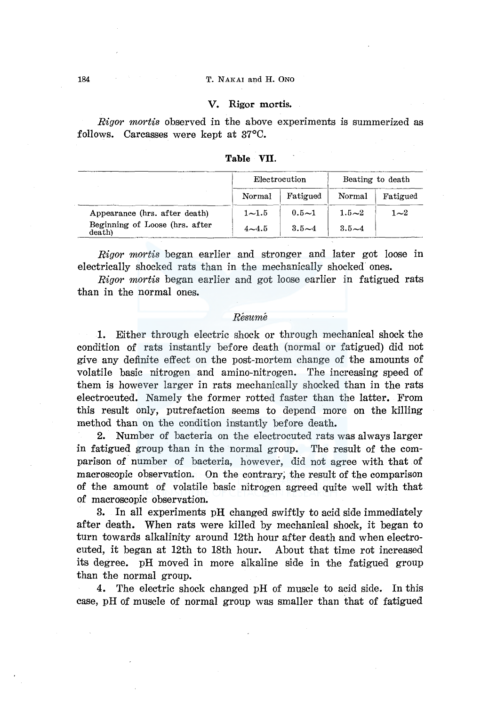### 184 T. NAKAI and H. ONO

## V. Rigor mortis.

*Rigor mortis* observed in the above experiments is summerized as follows. Carcasses were kept at 37°C.

|                                          | Electrocution |           | Beating to death |                     |
|------------------------------------------|---------------|-----------|------------------|---------------------|
|                                          | Normal        | Fatigued  | Normal           | Fatigued            |
| Appearance (hrs. after death)            | $1 - 1.5$     | $0.5 - 1$ | $1.5 - 2$        | 1 $\mathord{\sim}2$ |
| Beginning of Loose (hrs. after<br>death) | $4 - 4.5$     | $3.5 - 4$ | $3.5 - 4$        |                     |

**Table** VII.

*Rigor mortis* began earlier and stronger and later got loose in electrically shocked rats than in the mechanically shocked ones.

*Rigor mortis* began earlier and got loose earlier in fatigued rats than in the normal ones.

#### *Resume*

**1.** Either through electric shock or through mechanical shock the condition of rats instantly before death (normal or fatigued) did not give any definite effect on the post-mortem change of the amounts of volatile basic nitrogen and amino-nitrogen. The increasing speed of them is however larger in rats mechanically shocked than in the rats electrocuted. Namely the former rotted faster than the latter. From this result only, putrefaction seems to depend more on the killing method than on the condition instantly before death.

2. Number of bacteria on the electrocuted rats was always larger in fatigued group than in the normal group. The result of the comparison of number of bacteria, however, did not agree with that of macroscopic observation. On the contrary; the result of the comparison of the amount of volatile basic nitrogen agreed quite well with that of macroscopic observation.

3. In all experiments pH changed swiftly to acid side immediately after death. When rats were killed by mechanical shock, it began to turn towards alkalinity around 12th hour after death and when electrocuted, it began at 12th to 18th hour. About that time rot increased its degree. pH moved in more alkaline side in the fatigued group than the normal group.

4. The electric shock changed pH of muscle to acid side. In this case, pH of muscle of normal group was smaller than that of fatigued